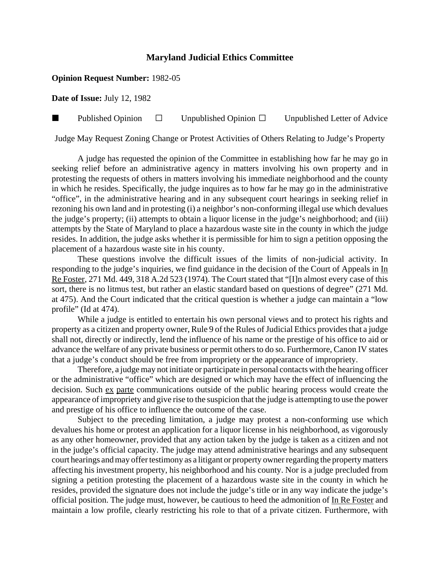## **Maryland Judicial Ethics Committee**

## **Opinion Request Number:** 1982-05

**Date of Issue:** July 12, 1982

**Published Opinion**  $\Box$  Unpublished Opinion  $\Box$  Unpublished Letter of Advice

Judge May Request Zoning Change or Protest Activities of Others Relating to Judge's Property

A judge has requested the opinion of the Committee in establishing how far he may go in seeking relief before an administrative agency in matters involving his own property and in protesting the requests of others in matters involving his immediate neighborhood and the county in which he resides. Specifically, the judge inquires as to how far he may go in the administrative "office", in the administrative hearing and in any subsequent court hearings in seeking relief in rezoning his own land and in protesting (i) a neighbor's non-conforming illegal use which devalues the judge's property; (ii) attempts to obtain a liquor license in the judge's neighborhood; and (iii) attempts by the State of Maryland to place a hazardous waste site in the county in which the judge resides. In addition, the judge asks whether it is permissible for him to sign a petition opposing the placement of a hazardous waste site in his county.

These questions involve the difficult issues of the limits of non-judicial activity. In responding to the judge's inquiries, we find guidance in the decision of the Court of Appeals in In Re Foster, 271 Md. 449, 318 A.2d 523 (1974). The Court stated that "[I]n almost every case of this sort, there is no litmus test, but rather an elastic standard based on questions of degree" (271 Md. at 475). And the Court indicated that the critical question is whether a judge can maintain a "low profile" (Id at 474).

While a judge is entitled to entertain his own personal views and to protect his rights and property as a citizen and property owner, Rule 9 of the Rules of Judicial Ethics provides that a judge shall not, directly or indirectly, lend the influence of his name or the prestige of his office to aid or advance the welfare of any private business or permit others to do so. Furthermore, Canon IV states that a judge's conduct should be free from impropriety or the appearance of impropriety.

Therefore, a judge may not initiate or participate in personal contacts with the hearing officer or the administrative "office" which are designed or which may have the effect of influencing the decision. Such ex parte communications outside of the public hearing process would create the appearance of impropriety and give rise to the suspicion that the judge is attempting to use the power and prestige of his office to influence the outcome of the case.

Subject to the preceding limitation, a judge may protest a non-conforming use which devalues his home or protest an application for a liquor license in his neighborhood, as vigorously as any other homeowner, provided that any action taken by the judge is taken as a citizen and not in the judge's official capacity. The judge may attend administrative hearings and any subsequent court hearings and may offer testimony as a litigant or property owner regarding the property matters affecting his investment property, his neighborhood and his county. Nor is a judge precluded from signing a petition protesting the placement of a hazardous waste site in the county in which he resides, provided the signature does not include the judge's title or in any way indicate the judge's official position. The judge must, however, be cautious to heed the admonition of In Re Foster and maintain a low profile, clearly restricting his role to that of a private citizen. Furthermore, with